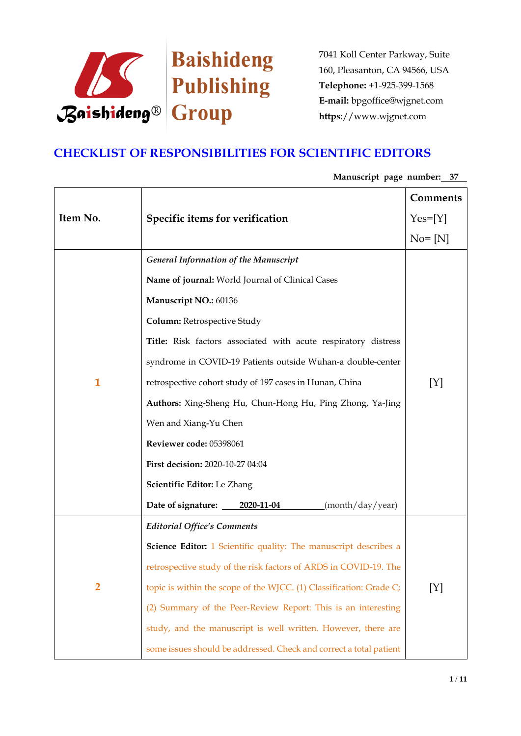

## **CHECKLIST OF RESPONSIBILITIES FOR SCIENTIFIC EDITORS**

**Item No. Specific items for verification Comments**  $Yes=[Y]$  $No = [N]$ **1** *General Information of the Manuscript* **Name of journal:** World Journal of Clinical Cases **Manuscript NO.:** 60136 **Column:** Retrospective Study **Title:** Risk factors associated with acute respiratory distress syndrome in COVID-19 Patients outside Wuhan-a double-center retrospective cohort study of 197 cases in Hunan, China **Authors:** Xing-Sheng Hu, Chun-Hong Hu, Ping Zhong, Ya-Jing Wen and Xiang-Yu Chen **Reviewer code:** 05398061 **First decision:** 2020-10-27 04:04 **Scientific Editor:** Le Zhang Date of signature: 2020-11-04 (month/day/year) [Y] **2** *Editorial Office's Comments* **Science Editor:** 1 Scientific quality: The manuscript describes a retrospective study of the risk factors of ARDS in COVID-19. The topic is within the scope of the WJCC. (1) Classification: Grade C;  $[Y]$ 

(2) Summary of the Peer-Review Report: This is an interesting

study, and the manuscript is well written. However, there are

some issues should be addressed. Check and correct a total patient

**Manuscript page number: 37**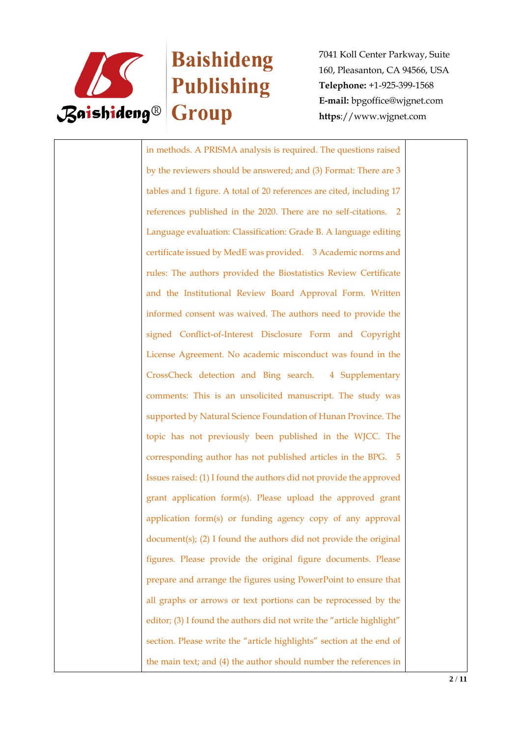

# **Baishideng Publishing**

7041 Koll Center Parkway, Suite 160, Pleasanton, CA 94566, USA **Telephone:** +1-925-399-1568 **E-mail:** bpgoffice@wjgnet.com **https**://www.wjgnet.com

in methods. A PRISMA analysis is required. The questions raised by the reviewers should be answered; and (3) Format: There are 3 tables and 1 figure. A total of 20 references are cited, including 17 references published in the 2020. There are no self-citations. 2 Language evaluation: Classification: Grade B. A language editing certificate issued by MedE was provided. 3 Academic norms and rules: The authors provided the Biostatistics Review Certificate and the Institutional Review Board Approval Form. Written informed consent was waived. The authors need to provide the signed Conflict-of-Interest Disclosure Form and Copyright License Agreement. No academic misconduct was found in the CrossCheck detection and Bing search. 4 Supplementary comments: This is an unsolicited manuscript. The study was supported by Natural Science Foundation of Hunan Province. The topic has not previously been published in the WJCC. The corresponding author has not published articles in the BPG. 5 Issues raised: (1) I found the authors did not provide the approved grant application form(s). Please upload the approved grant application form(s) or funding agency copy of any approval document(s); (2) I found the authors did not provide the original figures. Please provide the original figure documents. Please prepare and arrange the figures using PowerPoint to ensure that all graphs or arrows or text portions can be reprocessed by the editor; (3) I found the authors did not write the "article highlight" section. Please write the "article highlights" section at the end of the main text; and (4) the author should number the references in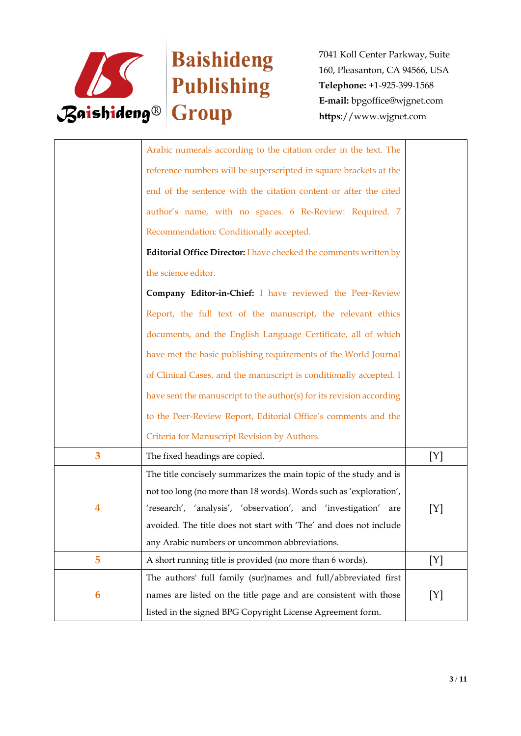

|   | Arabic numerals according to the citation order in the text. The         |     |
|---|--------------------------------------------------------------------------|-----|
|   | reference numbers will be superscripted in square brackets at the        |     |
|   | end of the sentence with the citation content or after the cited         |     |
|   | author's name, with no spaces. 6 Re-Review: Required. 7                  |     |
|   | Recommendation: Conditionally accepted.                                  |     |
|   | <b>Editorial Office Director: I have checked the comments written by</b> |     |
|   | the science editor.                                                      |     |
|   | Company Editor-in-Chief: I have reviewed the Peer-Review                 |     |
|   | Report, the full text of the manuscript, the relevant ethics             |     |
|   |                                                                          |     |
|   | documents, and the English Language Certificate, all of which            |     |
|   | have met the basic publishing requirements of the World Journal          |     |
|   | of Clinical Cases, and the manuscript is conditionally accepted. I       |     |
|   | have sent the manuscript to the author(s) for its revision according     |     |
|   | to the Peer-Review Report, Editorial Office's comments and the           |     |
|   | Criteria for Manuscript Revision by Authors.                             |     |
| 3 | The fixed headings are copied.                                           | [Y] |
|   | The title concisely summarizes the main topic of the study and is        |     |
|   | not too long (no more than 18 words). Words such as 'exploration',       |     |
| 4 | 'research', 'analysis', 'observation', and 'investigation'<br>are        | [Y] |
|   | avoided. The title does not start with 'The' and does not include        |     |
|   | any Arabic numbers or uncommon abbreviations.                            |     |
| 5 | A short running title is provided (no more than 6 words).                | [Y] |
|   | The authors' full family (sur)names and full/abbreviated first           |     |
| 6 | names are listed on the title page and are consistent with those         | [Y] |
|   | listed in the signed BPG Copyright License Agreement form.               |     |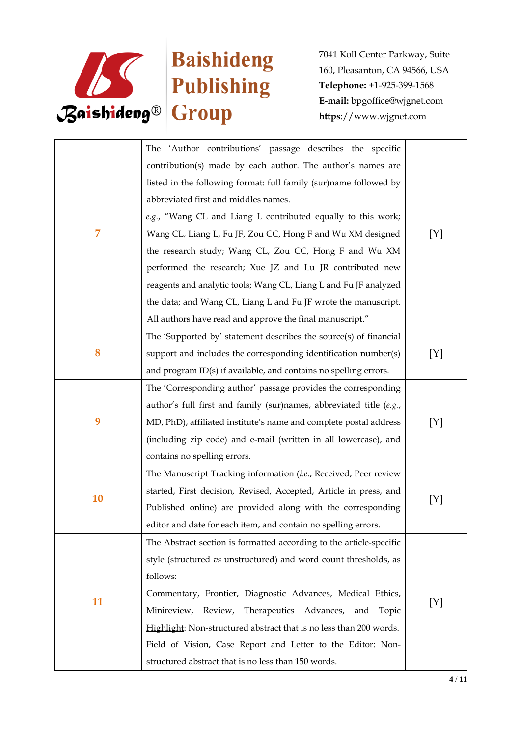

| 7  | The 'Author contributions' passage describes the specific<br>contribution(s) made by each author. The author's names are<br>listed in the following format: full family (sur) name followed by<br>abbreviated first and middles names.<br>e.g., "Wang CL and Liang L contributed equally to this work;<br>Wang CL, Liang L, Fu JF, Zou CC, Hong F and Wu XM designed<br>the research study; Wang CL, Zou CC, Hong F and Wu XM<br>performed the research; Xue JZ and Lu JR contributed new<br>reagents and analytic tools; Wang CL, Liang L and Fu JF analyzed | [Y] |
|----|---------------------------------------------------------------------------------------------------------------------------------------------------------------------------------------------------------------------------------------------------------------------------------------------------------------------------------------------------------------------------------------------------------------------------------------------------------------------------------------------------------------------------------------------------------------|-----|
|    | the data; and Wang CL, Liang L and Fu JF wrote the manuscript.<br>All authors have read and approve the final manuscript."                                                                                                                                                                                                                                                                                                                                                                                                                                    |     |
| 8  | The 'Supported by' statement describes the source(s) of financial<br>support and includes the corresponding identification number(s)<br>and program ID(s) if available, and contains no spelling errors.                                                                                                                                                                                                                                                                                                                                                      | [Y] |
| 9  | The 'Corresponding author' passage provides the corresponding<br>author's full first and family (sur)names, abbreviated title $(e.g.,$<br>MD, PhD), affiliated institute's name and complete postal address<br>(including zip code) and e-mail (written in all lowercase), and<br>contains no spelling errors.                                                                                                                                                                                                                                                | [Y] |
| 10 | The Manuscript Tracking information (i.e., Received, Peer review<br>started, First decision, Revised, Accepted, Article in press, and<br>Published online) are provided along with the corresponding<br>editor and date for each item, and contain no spelling errors.                                                                                                                                                                                                                                                                                        | [Y] |
| 11 | The Abstract section is formatted according to the article-specific<br>style (structured vs unstructured) and word count thresholds, as<br>follows:<br>Commentary, Frontier, Diagnostic Advances, Medical Ethics,<br>Minireview,<br>Review,<br>Therapeutics Advances,<br>and<br><b>Topic</b><br>Highlight: Non-structured abstract that is no less than 200 words.<br>Field of Vision, Case Report and Letter to the Editor: Non-<br>structured abstract that is no less than 150 words.                                                                      | [Y] |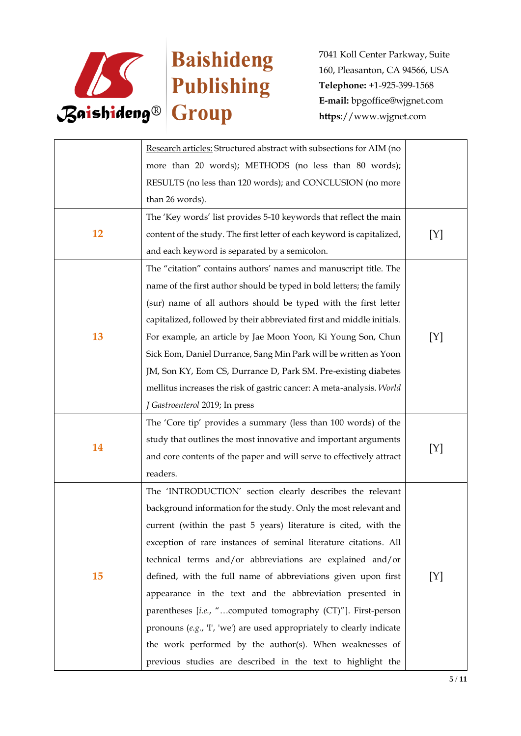

|           | Research articles: Structured abstract with subsections for AIM (no     |     |
|-----------|-------------------------------------------------------------------------|-----|
|           | more than 20 words); METHODS (no less than 80 words);                   |     |
|           | RESULTS (no less than 120 words); and CONCLUSION (no more               |     |
|           | than 26 words).                                                         |     |
|           | The 'Key words' list provides 5-10 keywords that reflect the main       |     |
| 12        | content of the study. The first letter of each keyword is capitalized,  | [Y] |
|           | and each keyword is separated by a semicolon.                           |     |
|           | The "citation" contains authors' names and manuscript title. The        |     |
|           | name of the first author should be typed in bold letters; the family    |     |
|           | (sur) name of all authors should be typed with the first letter         |     |
|           | capitalized, followed by their abbreviated first and middle initials.   |     |
| 13        | For example, an article by Jae Moon Yoon, Ki Young Son, Chun            | [Y] |
|           | Sick Eom, Daniel Durrance, Sang Min Park will be written as Yoon        |     |
|           | JM, Son KY, Eom CS, Durrance D, Park SM. Pre-existing diabetes          |     |
|           | mellitus increases the risk of gastric cancer: A meta-analysis. World   |     |
|           | J Gastroenterol 2019; In press                                          |     |
|           | The 'Core tip' provides a summary (less than 100 words) of the          |     |
|           | study that outlines the most innovative and important arguments         |     |
| 14        | and core contents of the paper and will serve to effectively attract    | [Y] |
|           | readers.                                                                |     |
|           | The 'INTRODUCTION' section clearly describes the relevant               |     |
| <b>15</b> | background information for the study. Only the most relevant and        |     |
|           | current (within the past 5 years) literature is cited, with the         |     |
|           | exception of rare instances of seminal literature citations. All        |     |
|           | technical terms and/or abbreviations are explained and/or               |     |
|           | defined, with the full name of abbreviations given upon first           | [Y] |
|           | appearance in the text and the abbreviation presented in                |     |
|           | parentheses [i.e., "computed tomography (CT)"]. First-person            |     |
|           | pronouns $(e.g., 'I', 'we')$ are used appropriately to clearly indicate |     |
|           | the work performed by the author(s). When weaknesses of                 |     |
|           | previous studies are described in the text to highlight the             |     |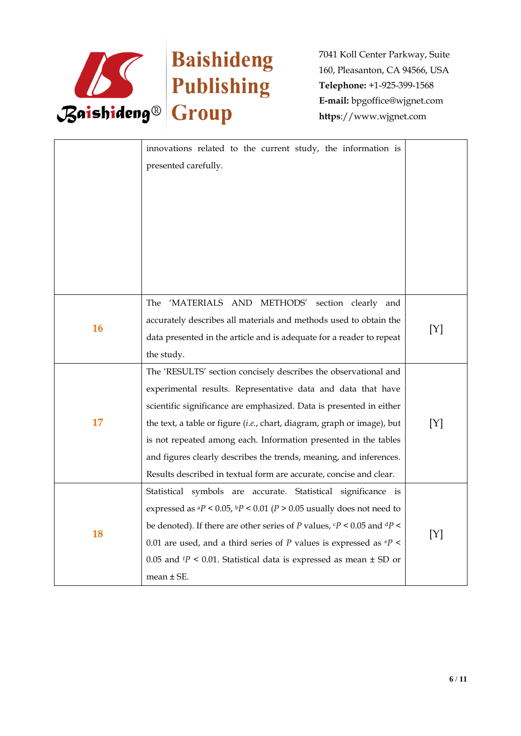

|    | innovations related to the current study, the information is<br>presented carefully.                                                                                                                                                                                                                                                                                                                                                                                                             |     |
|----|--------------------------------------------------------------------------------------------------------------------------------------------------------------------------------------------------------------------------------------------------------------------------------------------------------------------------------------------------------------------------------------------------------------------------------------------------------------------------------------------------|-----|
| 16 | 'MATERIALS AND METHODS' section clearly and<br>The<br>accurately describes all materials and methods used to obtain the<br>data presented in the article and is adequate for a reader to repeat<br>the study.                                                                                                                                                                                                                                                                                    | [Y] |
| 17 | The 'RESULTS' section concisely describes the observational and<br>experimental results. Representative data and data that have<br>scientific significance are emphasized. Data is presented in either<br>the text, a table or figure (i.e., chart, diagram, graph or image), but<br>is not repeated among each. Information presented in the tables<br>and figures clearly describes the trends, meaning, and inferences.<br>Results described in textual form are accurate, concise and clear. | [Y] |
| 18 | Statistical symbols are accurate. Statistical significance is<br>expressed as ${}^{a}P$ < 0.05, ${}^{b}P$ < 0.01 ( $P$ > 0.05 usually does not need to<br>be denoted). If there are other series of P values, $\epsilon P$ < 0.05 and $\epsilon P$ <<br>0.01 are used, and a third series of $P$ values is expressed as $\mathbf{e}P$ <<br>0.05 and $tP$ < 0.01. Statistical data is expressed as mean $\pm$ SD or<br>$mean \pm SE$ .                                                            | [Y] |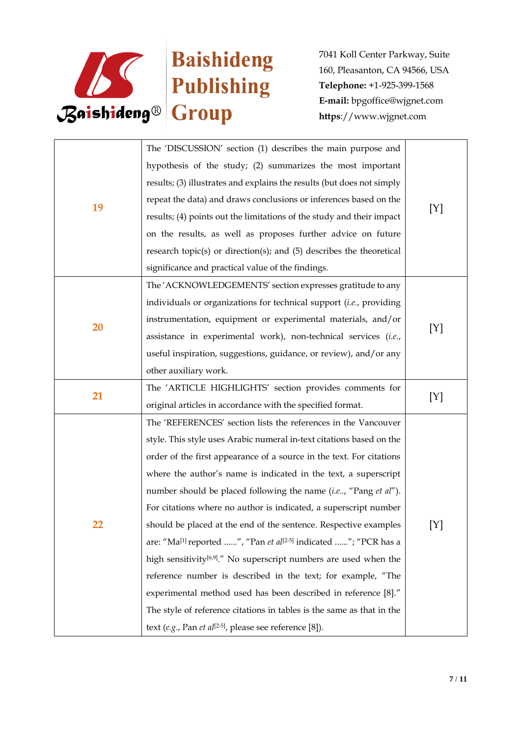

| 19 | The 'DISCUSSION' section (1) describes the main purpose and                             |     |
|----|-----------------------------------------------------------------------------------------|-----|
|    | hypothesis of the study; (2) summarizes the most important                              |     |
|    | results; (3) illustrates and explains the results (but does not simply                  |     |
|    | repeat the data) and draws conclusions or inferences based on the                       | [Y] |
|    | results; (4) points out the limitations of the study and their impact                   |     |
|    | on the results, as well as proposes further advice on future                            |     |
|    | research topic(s) or direction(s); and $(5)$ describes the theoretical                  |     |
|    | significance and practical value of the findings.                                       |     |
|    | The 'ACKNOWLEDGEMENTS' section expresses gratitude to any                               |     |
|    | individuals or organizations for technical support (i.e., providing                     |     |
|    | instrumentation, equipment or experimental materials, and/or                            |     |
| 20 | assistance in experimental work), non-technical services (i.e.,                         | [Y] |
|    | useful inspiration, suggestions, guidance, or review), and/or any                       |     |
|    | other auxiliary work.                                                                   |     |
|    | The 'ARTICLE HIGHLIGHTS' section provides comments for                                  |     |
| 21 | original articles in accordance with the specified format.                              | [Y] |
|    | The 'REFERENCES' section lists the references in the Vancouver                          |     |
|    | style. This style uses Arabic numeral in-text citations based on the                    |     |
|    | order of the first appearance of a source in the text. For citations                    |     |
|    | where the author's name is indicated in the text, a superscript                         |     |
|    | number should be placed following the name (i.e, "Pang et al").                         | [Y] |
|    | For citations where no author is indicated, a superscript number                        |     |
| 22 | should be placed at the end of the sentence. Respective examples                        |     |
|    | are: "Ma <sup>[1]</sup> reported ", "Pan et al <sup>[2-5]</sup> indicated "; "PCR has a |     |
|    | high sensitivity <sup>[6,9]</sup> ." No superscript numbers are used when the           |     |
|    | reference number is described in the text; for example, "The                            |     |
|    | experimental method used has been described in reference [8]."                          |     |
|    | The style of reference citations in tables is the same as that in the                   |     |
|    | text (e.g., Pan et al <sup>[2-5]</sup> , please see reference [8]).                     |     |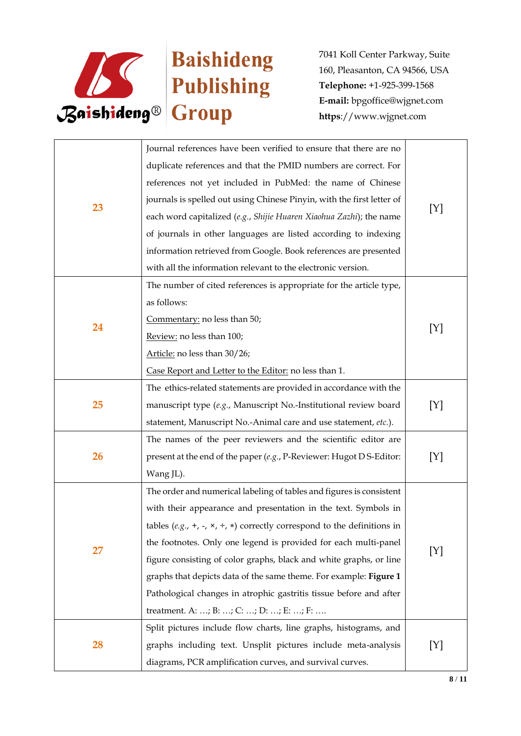

|           | Journal references have been verified to ensure that there are no                     |     |
|-----------|---------------------------------------------------------------------------------------|-----|
| 23        | duplicate references and that the PMID numbers are correct. For                       |     |
|           | references not yet included in PubMed: the name of Chinese                            |     |
|           | journals is spelled out using Chinese Pinyin, with the first letter of                | [Y] |
|           | each word capitalized (e.g., Shijie Huaren Xiaohua Zazhi); the name                   |     |
|           | of journals in other languages are listed according to indexing                       |     |
|           | information retrieved from Google. Book references are presented                      |     |
|           | with all the information relevant to the electronic version.                          |     |
|           | The number of cited references is appropriate for the article type,                   |     |
|           | as follows:                                                                           |     |
|           | Commentary: no less than 50;                                                          |     |
| 24        | Review: no less than 100;                                                             | [Y] |
|           | Article: no less than 30/26;                                                          |     |
|           | Case Report and Letter to the Editor: no less than 1.                                 |     |
|           | The ethics-related statements are provided in accordance with the                     |     |
| 25        | manuscript type (e.g., Manuscript No.-Institutional review board                      | [Y] |
|           | statement, Manuscript No.-Animal care and use statement, etc.).                       |     |
|           | The names of the peer reviewers and the scientific editor are                         |     |
| 26        | present at the end of the paper (e.g., P-Reviewer: Hugot D S-Editor:                  | [Y] |
|           | Wang JL).                                                                             |     |
|           | The order and numerical labeling of tables and figures is consistent                  |     |
|           | with their appearance and presentation in the text. Symbols in                        |     |
|           | tables (e.g., +, -, $\times$ , ÷, $\ast$ ) correctly correspond to the definitions in |     |
|           | the footnotes. Only one legend is provided for each multi-panel                       |     |
| 27        | figure consisting of color graphs, black and white graphs, or line                    | [Y] |
|           | graphs that depicts data of the same theme. For example: Figure 1                     |     |
|           | Pathological changes in atrophic gastritis tissue before and after                    |     |
|           | treatment. A: ; B: ; C: ; D: ; E: ; F:                                                |     |
|           | Split pictures include flow charts, line graphs, histograms, and                      |     |
| <b>28</b> | graphs including text. Unsplit pictures include meta-analysis                         | [Y] |
|           | diagrams, PCR amplification curves, and survival curves.                              |     |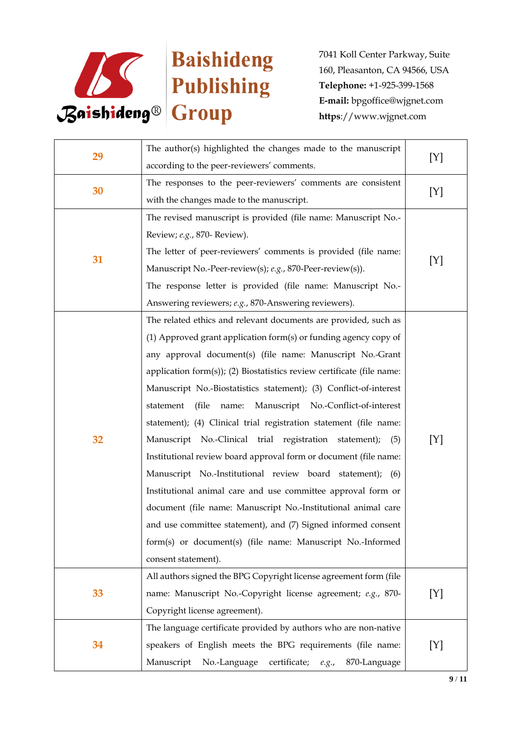

| 29 | The author(s) highlighted the changes made to the manuscript               | [Y] |
|----|----------------------------------------------------------------------------|-----|
|    | according to the peer-reviewers' comments.                                 |     |
| 30 | The responses to the peer-reviewers' comments are consistent               | [Y] |
|    | with the changes made to the manuscript.                                   |     |
|    | The revised manuscript is provided (file name: Manuscript No.-             |     |
|    | Review; e.g., 870- Review).                                                |     |
|    | The letter of peer-reviewers' comments is provided (file name:             |     |
| 31 | Manuscript No.-Peer-review(s); e.g., 870-Peer-review(s)).                  | [Y] |
|    | The response letter is provided (file name: Manuscript No.-                |     |
|    | Answering reviewers; e.g., 870-Answering reviewers).                       |     |
|    | The related ethics and relevant documents are provided, such as            |     |
|    | (1) Approved grant application form(s) or funding agency copy of           |     |
|    | any approval document(s) (file name: Manuscript No.-Grant                  |     |
|    | application form $(s)$ ); (2) Biostatistics review certificate (file name: |     |
|    | Manuscript No.-Biostatistics statement); (3) Conflict-of-interest          |     |
|    | (file<br>name:<br>Manuscript No.-Conflict-of-interest<br>statement         |     |
|    | statement); (4) Clinical trial registration statement (file name:          |     |
| 32 | Manuscript No.-Clinical trial registration statement);<br>(5)              | [Y] |
|    | Institutional review board approval form or document (file name:           |     |
|    | Manuscript No.-Institutional review board statement); (6)                  |     |
|    | Institutional animal care and use committee approval form or               |     |
|    | document (file name: Manuscript No.-Institutional animal care              |     |
|    | and use committee statement), and (7) Signed informed consent              |     |
|    | form(s) or document(s) (file name: Manuscript No.-Informed                 |     |
|    | consent statement).                                                        |     |
|    | All authors signed the BPG Copyright license agreement form (file          |     |
| 33 | name: Manuscript No.-Copyright license agreement; e.g., 870-               | [Y] |
|    | Copyright license agreement).                                              |     |
|    | The language certificate provided by authors who are non-native            |     |
| 34 | speakers of English meets the BPG requirements (file name:                 | [Y] |
|    | Manuscript No.-Language<br>certificate;<br>870-Language<br>e.g.,           |     |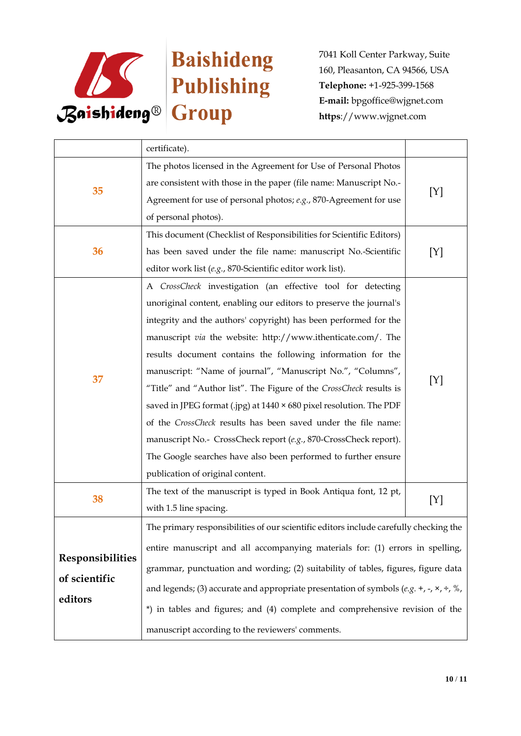

|                                              | certificate).                                                                                |     |
|----------------------------------------------|----------------------------------------------------------------------------------------------|-----|
|                                              | The photos licensed in the Agreement for Use of Personal Photos                              |     |
| 35                                           | are consistent with those in the paper (file name: Manuscript No.-                           | [Y] |
|                                              | Agreement for use of personal photos; e.g., 870-Agreement for use                            |     |
|                                              | of personal photos).                                                                         |     |
|                                              | This document (Checklist of Responsibilities for Scientific Editors)                         |     |
| 36                                           | has been saved under the file name: manuscript No.-Scientific                                | [Y] |
|                                              | editor work list (e.g., 870-Scientific editor work list).                                    |     |
|                                              | A CrossCheck investigation (an effective tool for detecting                                  |     |
|                                              | unoriginal content, enabling our editors to preserve the journal's                           |     |
|                                              | integrity and the authors' copyright) has been performed for the                             |     |
|                                              | manuscript via the website: http://www.ithenticate.com/. The                                 |     |
|                                              | results document contains the following information for the                                  | [Y] |
| 37                                           | manuscript: "Name of journal", "Manuscript No.", "Columns",                                  |     |
|                                              | "Title" and "Author list". The Figure of the CrossCheck results is                           |     |
|                                              | saved in JPEG format (.jpg) at 1440 × 680 pixel resolution. The PDF                          |     |
|                                              | of the CrossCheck results has been saved under the file name:                                |     |
|                                              | manuscript No.- CrossCheck report (e.g., 870-CrossCheck report).                             |     |
|                                              | The Google searches have also been performed to further ensure                               |     |
|                                              | publication of original content.                                                             |     |
| 38                                           | The text of the manuscript is typed in Book Antiqua font, 12 pt,                             | [Y] |
|                                              | with 1.5 line spacing.                                                                       |     |
|                                              | The primary responsibilities of our scientific editors include carefully checking the        |     |
| Responsibilities<br>of scientific<br>editors | entire manuscript and all accompanying materials for: (1) errors in spelling,                |     |
|                                              | grammar, punctuation and wording; (2) suitability of tables, figures, figure data            |     |
|                                              |                                                                                              |     |
|                                              | and legends; (3) accurate and appropriate presentation of symbols $(e.g. +, -, \times, +, %$ |     |
|                                              | *) in tables and figures; and (4) complete and comprehensive revision of the                 |     |
|                                              | manuscript according to the reviewers' comments.                                             |     |